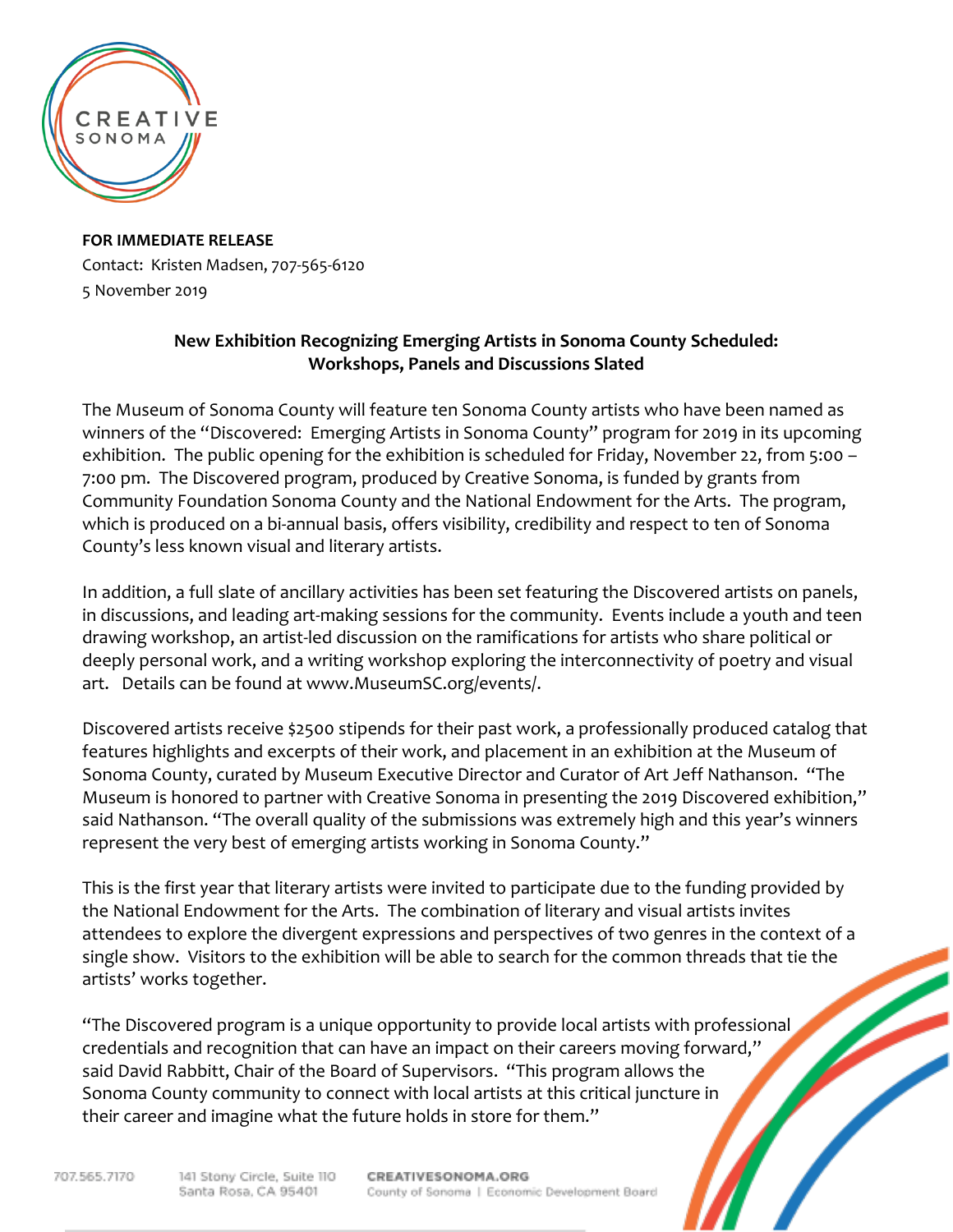

**FOR IMMEDIATE RELEASE** Contact: Kristen Madsen, 707-565-6120 5 November 2019

## **New Exhibition Recognizing Emerging Artists in Sonoma County Scheduled: Workshops, Panels and Discussions Slated**

The Museum of Sonoma County will feature ten Sonoma County artists who have been named as winners of the "Discovered: Emerging Artists in Sonoma County" program for 2019 in its upcoming exhibition. The public opening for the exhibition is scheduled for Friday, November 22, from 5:00 -7:00 pm. The Discovered program, produced by Creative Sonoma, is funded by grants from Community Foundation Sonoma County and the National Endowment for the Arts. The program, which is produced on a bi-annual basis, offers visibility, credibility and respect to ten of Sonoma County's less known visual and literary artists.

In addition, a full slate of ancillary activities has been set featuring the Discovered artists on panels, in discussions, and leading art-making sessions for the community. Events include a youth and teen drawing workshop, an artist-led discussion on the ramifications for artists who share political or deeply personal work, and a writing workshop exploring the interconnectivity of poetry and visual art. Details can be found at www.MuseumSC.org/events/.

Discovered artists receive \$2500 stipends for their past work, a professionally produced catalog that features highlights and excerpts of their work, and placement in an exhibition at the Museum of Sonoma County, curated by Museum Executive Director and Curator of Art Jeff Nathanson. "The Museum is honored to partner with Creative Sonoma in presenting the 2019 Discovered exhibition," said Nathanson. "The overall quality of the submissions was extremely high and this year's winners represent the very best of emerging artists working in Sonoma County."

This is the first year that literary artists were invited to participate due to the funding provided by the National Endowment for the Arts. The combination of literary and visual artists invites attendees to explore the divergent expressions and perspectives of two genres in the context of a single show. Visitors to the exhibition will be able to search for the common threads that tie the artists' works together.

"The Discovered program is a unique opportunity to provide local artists with professional credentials and recognition that can have an impact on their careers moving forward," said David Rabbitt, Chair of the Board of Supervisors. "This program allows the Sonoma County community to connect with local artists at this critical juncture in their career and imagine what the future holds in store for them."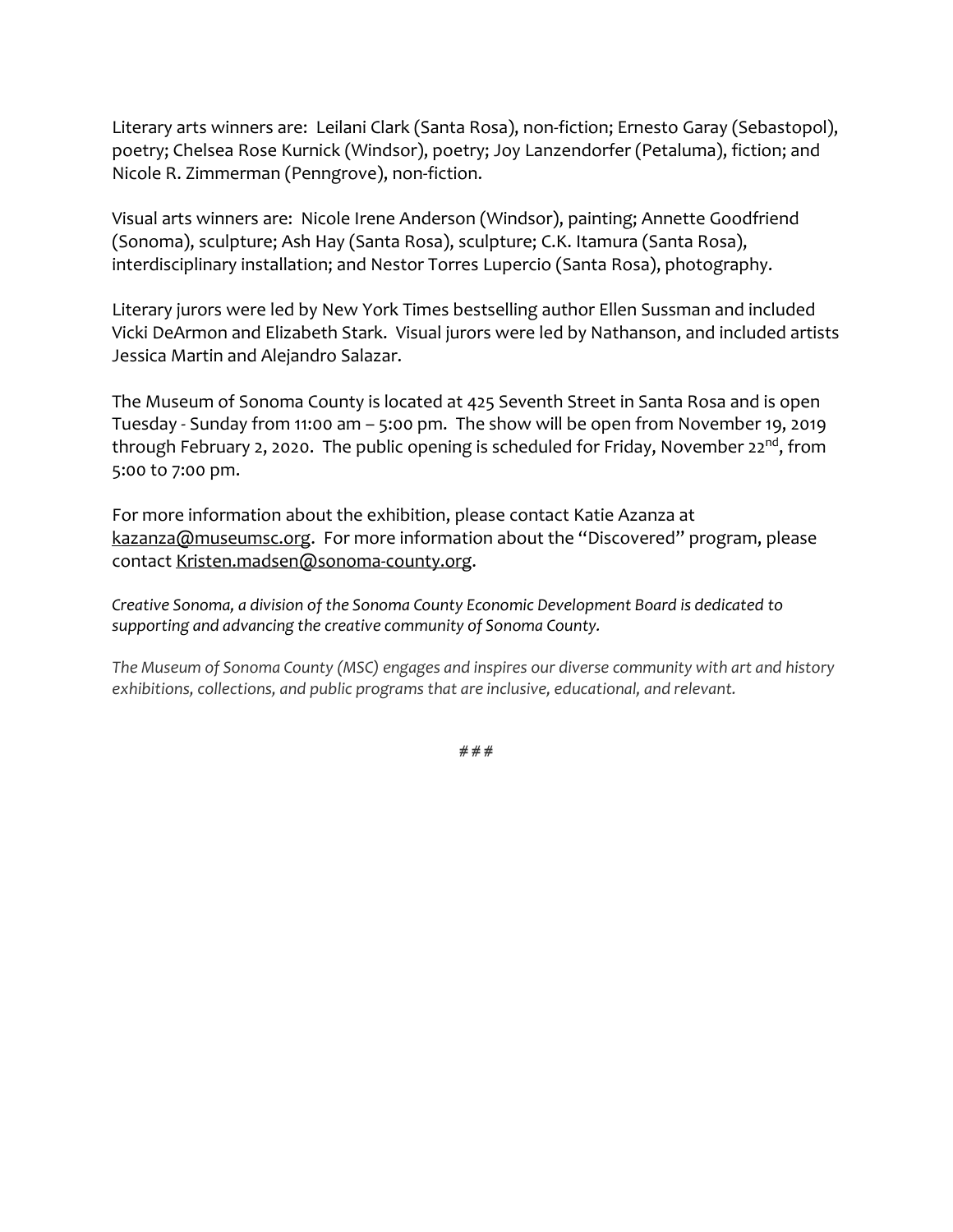Literary arts winners are: Leilani Clark (Santa Rosa), non-fiction; Ernesto Garay (Sebastopol), poetry; Chelsea Rose Kurnick (Windsor), poetry; Joy Lanzendorfer (Petaluma), fiction; and Nicole R. Zimmerman (Penngrove), non-fiction.

Visual arts winners are: Nicole Irene Anderson (Windsor), painting; Annette Goodfriend (Sonoma), sculpture; Ash Hay (Santa Rosa), sculpture; C.K. Itamura (Santa Rosa), interdisciplinary installation; and Nestor Torres Lupercio (Santa Rosa), photography.

Literary jurors were led by New York Times bestselling author Ellen Sussman and included Vicki DeArmon and Elizabeth Stark. Visual jurors were led by Nathanson, and included artists Jessica Martin and Alejandro Salazar.

The Museum of Sonoma County is located at 425 Seventh Street in Santa Rosa and is open Tuesday - Sunday from 11:00 am – 5:00 pm. The show will be open from November 19, 2019 through February 2, 2020. The public opening is scheduled for Friday, November 22<sup>nd</sup>, from 5:00 to 7:00 pm.

For more information about the exhibition, please contact Katie Azanza at [kazanza@museumsc.org.](mailto:kazanza@museumsc.org) For more information about the "Discovered" program, please contact [Kristen.madsen@sonoma-county.org.](mailto:Kristen.madsen@sonoma-county.org)

*Creative Sonoma, a division of the Sonoma County Economic Development Board is dedicated to supporting and advancing the creative community of Sonoma County.*

*The Museum of Sonoma County (MSC) engages and inspires our diverse community with art and history exhibitions, collections, and public programs that are inclusive, educational, and relevant.*

**# # #**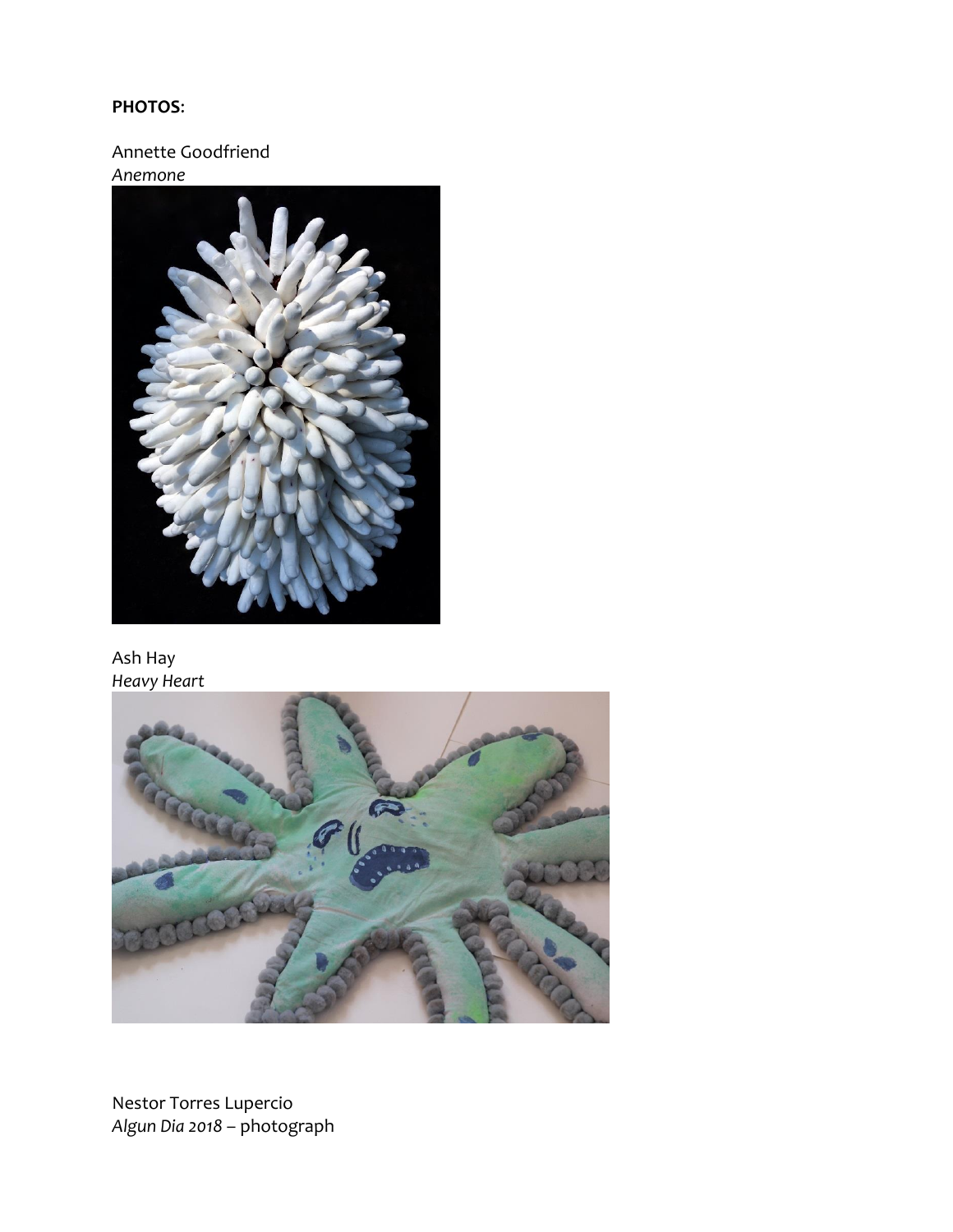## **PHOTOS:**

Annette Goodfriend Anemone



Ash Hay Heavy Heart



Nestor Torres Lupercio Algun Dia 2018 - photograph